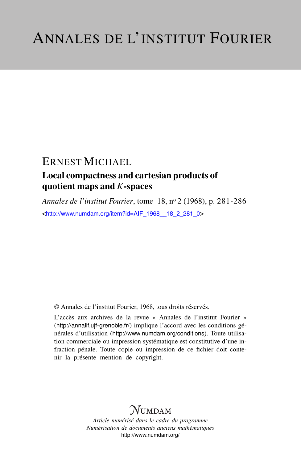## ERNEST MICHAEL

## Local compactness and cartesian products of quotient maps and *K*-spaces

*Annales de l'institut Fourier*, tome 18, n<sup>o</sup> 2 (1968), p. 281-286 <[http://www.numdam.org/item?id=AIF\\_1968\\_\\_18\\_2\\_281\\_0](http://www.numdam.org/item?id=AIF_1968__18_2_281_0)>

© Annales de l'institut Fourier, 1968, tous droits réservés.

L'accès aux archives de la revue « Annales de l'institut Fourier » (<http://annalif.ujf-grenoble.fr/>) implique l'accord avec les conditions générales d'utilisation (<http://www.numdam.org/conditions>). Toute utilisation commerciale ou impression systématique est constitutive d'une infraction pénale. Toute copie ou impression de ce fichier doit contenir la présente mention de copyright.

# NUMDAM

*Article numérisé dans le cadre du programme Numérisation de documents anciens mathématiques* <http://www.numdam.org/>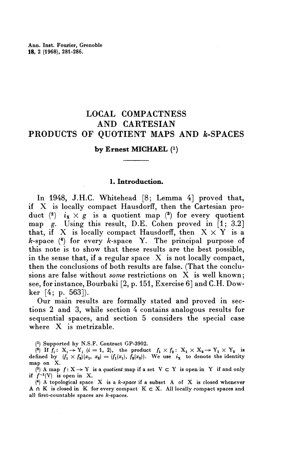### LOCAL COMPACTNESS AND CARTESIAN PRODUCTS OF OUOTIENT MAPS AND k-SPACES

### **by Ernest MICHAEL (<sup>l</sup> )**

#### **1. Introduction.**

In 1948, J.H.C. Whitehead [8; Lemma 4] proved that, if X is locally compact Hausdorff, then the Cartesian product  $(2)$   $i_x \times g$  is a quotient map  $(3)$  for every quotient map g. Using this result, D.E. Cohen proved in [1; 3.2] that, if X is locally compact Hausdorff, then  $X \times Y$  is a  $k$ -space (4) for every  $k$ -space Y. The principal purpose of this note is to show that these results are the best possible, in the sense that, if a regular space  $X$  is not locally compact, then the conclusions of both results are false. (That the conclusions are false without *some* restrictions on X is well known; see, **for instance, Bourbaki** [2, **p. 151, Exercise** 6] **and C.H. Dowker** [4; p. 563]).

Our main results are formally stated and proved in sections 2 and 3, while section 4 contains analogous results for sequential spaces, and section 5 considers the special case where X is metrizable.

( 1 ) Supported by N.S.F. Contract GP-3902.

(\*) Supported by N.S.T. Contract  $G_1$ -5502.<br>(\*) If  $f_i: X_i \rightarrow Y_i$  ( $i = 1, 2$ ), the product  $f_1 \times f_2: X_1 \times X_2 \rightarrow Y_1 \times Y_2$  is defined by  $(f_1 \times f_2)(x_1, x_2) = (f_1(x_1), f_2(x_2))$ . We use  $f_x$  to denote the identity map on X.

( 3 ) A map *f:* X *—>* Y is a *quotient* map if a set V c Y is open in Y if and only if  $f^{-1}(V)$  is open in X.

( 4 ) A topological space X is a *k-space* if a subset A of X is closed whenever A  $\cap$  K is closed in K for every compact  $K \subset X$ . All locally compact spaces and all first-countable spaces are  $k$ -spaces.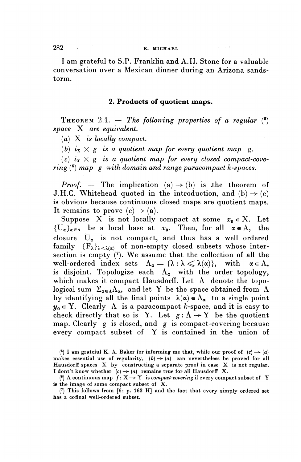I am grateful to S.P. Franklin and A.H. Stone for a valuable conversation over a Mexican dinner during an Arizona sandstorm.

#### **2. Products of quotient maps.**

THEOREM 2.1. — *The following properties of a regular* (<sup>5</sup> ) *space* X *are equivalent.*

(a) X *is locally compact.*

*(b)*  $i_x \times g$  *is a quotient map for every quotient map g.* 

 $(c)$  i<sub>x</sub>  $\times$  g is a quotient map for every closed compact-cove*ring* (<sup>6</sup> ) *map g with domain and range paracompact k-spaces.*

*Proof.* — The implication  $(a) \rightarrow (b)$  is the theorem of J.H.C. Whitehead quoted in the introduction, and  $(b) \rightarrow (c)$ is obvious because continuous closed maps are quotient maps. It remains to prove  $(c) \rightarrow (a)$ .

Suppose X is not locally compact at some  $x_0 \in X$ . Let  $\{U_{\alpha}\}_{\alpha \in A}$  be a local base at  $x_0$ . Then, for all  $\alpha \in A$ , the closure  $\overline{U}_\alpha$  is not compact, and thus has a well ordered family  $\{F_\lambda\}_{\lambda<\lambda(\alpha)}$  of non-empty closed subsets whose intersection is empty  $(7)$ . We assume that the collection of all the well-ordered index sets  $\Lambda_{\alpha} = {\lambda : \lambda \leqslant \lambda(\alpha)},$  with  $\alpha \in A$ , is disjoint. Topologize each  $\Lambda_{\alpha}$  with the order topology, which makes it compact Hausdorff. Let  $\Lambda$  denote the topological sum  $\Sigma_{\alpha \in \Lambda} \Lambda_{\alpha}$ , and let Y be the space obtained from  $\Lambda$ by identifying all the final points  $\lambda(\alpha) \in \Lambda_{\alpha}$  to a single point  $y_0 \in Y$ . Clearly  $\Lambda$  is a paracompact k-space, and it is easy to check directly that so is Y. Let  $g : \Lambda \rightarrow Y$  be the quotient map. Clearly *g* is closed, and g is compact-covering because every compact subset of Y is contained in the union of

<sup>(5)</sup> I am grateful K. A. Baker for informing me that, while our proof of  $(c) \rightarrow (a)$ makes essential use of regularity,  $(b) \rightarrow (a)$  can nevertheless be proved for all Hausdorff spaces X by constructing a separate proof in case X is not regular. I dont't know whether  $(c) \rightarrow (a)$  remains true for all Hausdorff X.

(\*) A continuous map  $f: X \to Y$  is *compact-covering* if every compact subset of Y is the image of some compact subset of X.

( 7 ) This follows from [6; p. 163 H] and the fact that every simply ordered set has a cofinal well-ordered subset.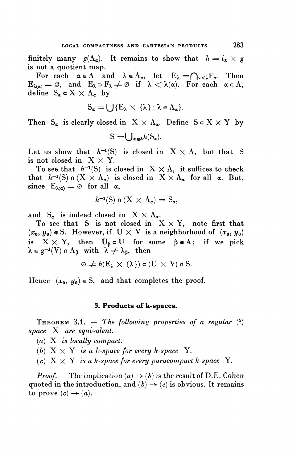finitely many  $g(\Lambda_a)$ . It remains to show that  $h = i_{\mathbf{X}} \times g$ is not a quotient map.

For each  $\alpha \in A$  and  $\lambda \in \Lambda_{\alpha}$ , let  $E_{\lambda} = \bigcap_{\nu \leq \lambda} F_{\nu}$ . Then  $E_{\lambda(\alpha)} = \emptyset$ , and  $E_{\lambda} \supset F_{\lambda} \neq \emptyset$  if  $\lambda < \lambda(\alpha)$ . For each  $\alpha \in A$ , define  $S_a \subset X \times \Lambda_a$  by

$$
S_{\alpha} = \bigcup \{ E_{\lambda} \times \{ \lambda \} : \lambda \in \Lambda_{\alpha} \}.
$$

Then  $S_{\alpha}$  is clearly closed in  $X \times \Lambda_{\alpha}$ . Define  $S \subset X \times Y$  by

$$
S=\bigcup\nolimits_{\alpha\in A}h(S_{\alpha}).
$$

Let us show that  $h^{-1}(S)$  is closed in  $X \times \Lambda$ , but that S is not closed in  $X \times Y$ .

To see that  $h^{-1}(S)$  is closed in  $X \times \Lambda$ , it suffices to check that  $h^{-1}(S) \cap (X \times \Lambda_{\alpha})$  is closed in  $X \times \Lambda_{\alpha}$  for all  $\alpha$ . But, since  $E_{\lambda(\alpha)} = \emptyset$  for all  $\alpha$ ,

$$
h^{-1}(S) \cap (X \times \Lambda_{\alpha}) = S_{\alpha},
$$

and  $S_{\alpha}$  is indeed closed in  $X \times \Lambda_{\alpha}$ .

To see that S is not closed in  $X \times Y$ , note first that  $(x_0, y_0) \notin S$ . However, if  $U \times V$  is a neighborhood of  $(x_0, y_0)$ is  $X \times Y$ , then  $\overline{U}_{\beta} \subset U$  for some  $\beta \in A$ ; if we pick  $\lambda \in g^{-1}(V) \cap \Lambda_{\beta}$  with  $\lambda \neq \lambda_{\beta}$ , then

$$
\emptyset \neq h(E_{\lambda} \times {\lambda}) \subset (U \times V) \cap S.
$$

Hence  $(x_0, y_0) \in \overline{S}$ , and that completes the proof.

#### **3. Products of k-spaces.**

**THEOREM** 3.1.  $-$  The following properties of a regular  $(5)$ *space* X *are equivalent.*

- (a) X *is locally compact.*
- *(b)*  $X \times Y$  *is a k-space for every k-space* Y.
- $(c)$   $X \times Y$  *is a k-space for every paracompact k-space* Y.

*Proof.* — The implication  $(a) \rightarrow (b)$  is the result of D.E. Cohen quoted in the introduction, and  $(b) \rightarrow (c)$  is obvious. It remains to prove  $(c) \rightarrow (a)$ .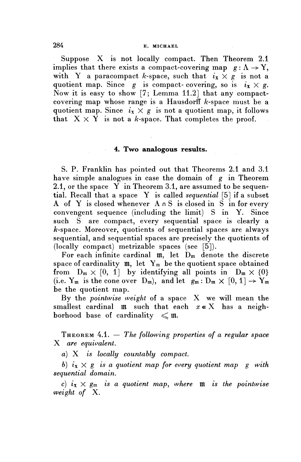#### 284 **E. MICHAEL**

Suppose X is not locally compact. Then Theorem 2.1 implies that there exists a compact-covering map  $g : \Lambda \to Y$ , with Y a paracompact k-space, such that  $i_x \times g$  is not a quotient map. Since g is compact- covering, so is  $i_x \times g$ . Now it is easy to show [7; Lemma 11.2] that any compactcovering map whose range is a Hausdorff  $k$ -space must be a quotient map. Since  $i_x \times g$  is not a quotient map, it follows that  $X \times Y$  is not a *k*-space. That completes the proof.

#### **4. Two analogous results.**

S. P. Franklin has pointed out that Theorems 2.1 and 3.1 have simple analogues in case the domain of g in Theorem 2.1, or the space  $\overline{Y}$  in Theorem 3.1, are assumed to be sequential. Recall that a space Y is called *sequential* [5] if a subset A of Y is closed whenever A n S is closed in S in for every convengent sequence (including the limit) S in Y. Since such S are compact, every sequential space is clearly a  $k$ -space. Moreover, quotients of sequential spaces are always sequential, and sequential spaces are precisely the quotients of (locally compact) metrizable spaces (see [5]).

For each infinite cardinal  $m$ , let  $D_m$  denote the discrete space of cardinality  $m$ , let  $Y_m$  be the quotient space obtained from  $D_m \times [0, 1]$  by identifying all points in  $D_m \times \{0\}$ (i.e.  $Y_m$  is the cone over  $D_m$ ), and let  $g_m : D_m \times [0, 1] \rightarrow Y_m$ be the quotient map.

By the *pointwise weight* of a space X we will mean the smallest cardinal  $m$  such that each  $x \in X$  has a neighborhood base of cardinality  $\leqslant$  m.

THEOREM 4.1. — *The following properties of a regular space* X *are equivalent.*

*a)* X *is locally countably compact.*

*b) ix X g is a quotient map for every quotient map g with sequential domain.*

 $c)$   $i_x \times g_m$  *is a quotient map, where*  $m$  *is the pointwise weight of* X.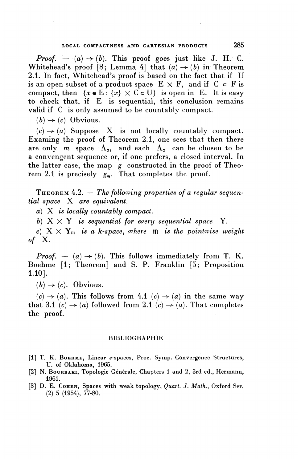*Proof.*  $-$  (a)  $\rightarrow$  (b). This proof goes just like J. H. C. Whitehead's proof [8; Lemma 4] that  $(a) \rightarrow (b)$  in Theorem 2.1. In fact, Whitehead's proof is based on the fact that if U is an open subset of a product space  $E \times F$ , and if  $C \subset F$  is compact, then  $\{x \in \mathbb{E} : \{x\} \times \mathbb{C} \subset \mathbb{U}\}\$ is open in E. It is easy to check that, if E is sequential, this conclusion remains valid if C is only assumed to be countably compact.

 $(b) \rightarrow (c)$  Obvious.

 $(c) \rightarrow (a)$  Suppose X is not locally countably compact. Examing the proof of Theorem 2.1, one sees that then there are only *m* space  $\Lambda_{\alpha}$ , and each  $\Lambda_{\alpha}$  can be chosen to be a convengent sequence or, if one prefers, a closed interval. In the latter case, the map g constructed in the proof of Theorem 2.1 is precisely  $g_m$ . That completes the proof.

THEOREM 4.2. — *The following properties of a regular sequential space* X *are equivalent.*

*a)* X *is locally countably compact.*

*b)*  $X \times Y$  *is sequential for every sequential space* Y.

c)  $X \times Y_m$  *is a k-space, where*  $m$  *is the pointwise weight of* X.

*Proof. – (a)*  $\rightarrow$  *(b).* This follows immediately from T. K. Boehme [1; Theorem] and S. P. Franklin [5; Proposition 1.10].

 $(b) \rightarrow (c)$ . Obvious.

 $(c) \rightarrow (a)$ . This follows from 4.1  $(c) \rightarrow (a)$  in the same way that 3.1 (c)  $\rightarrow$  (a) followed from 2.1 (c)  $\rightarrow$  (a). That completes the proof.

#### BIBLIOGRAPHIE

- [1] T. K. BOEHME, Linear s-spaces, Proc. Symp. Convergence Structures, U. of Oklahoma, 1965.
- [2] N. BOURBAKI, Topologie Générale, Chapters 1 and 2, 3rd ed., Hermann, 1961.
- [3] D. E. COHEN, Spaces with weak topology, *Quart. J. Math.*, Oxford Ser. (2) 5 (1954), 77-80.